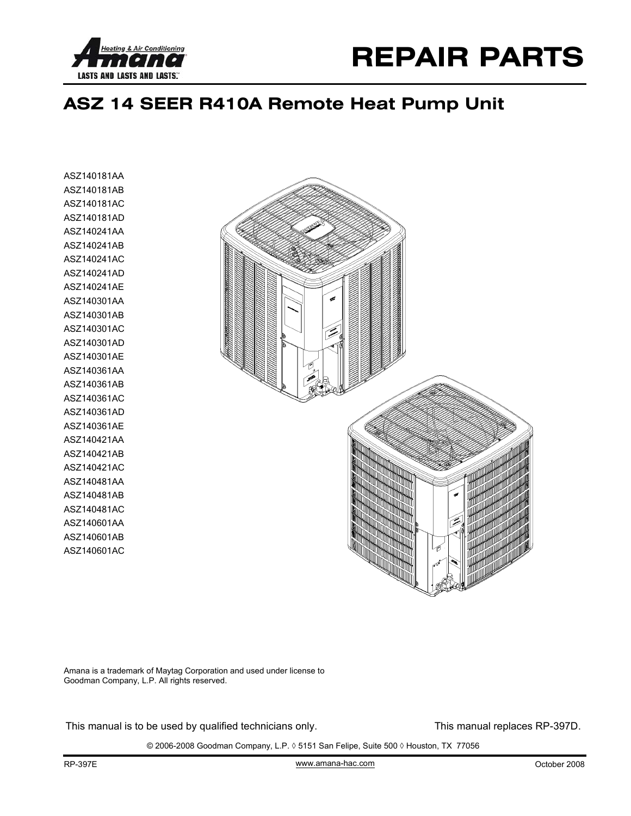



## **ASZ 14 SEER R410A Remote Heat Pump Unit**

ASZ140181AA ASZ140181AB ASZ140181AC ASZ140181AD ASZ140241AA ASZ140241AB ASZ140241AC ASZ140241AD ASZ140241AE ASZ140301AA ASZ140301AB ASZ140301AC ASZ140301AD ASZ140301AE ASZ140361AA ASZ140361AB ASZ140361AC ASZ140361AD ASZ140361AE ASZ140421AA ASZ140421AB ASZ140421AC ASZ140481AA ASZ140481AB ASZ140481AC ASZ140601AA ASZ140601AB ASZ140601AC



Amana is a trademark of Maytag Corporation and used under license to Goodman Company, L.P. All rights reserved.

This manual is to be used by qualified technicians only. This manual replaces RP-397D.

© 2006-2008 Goodman Company, L.P. ◊ 5151 San Felipe, Suite 500 ◊ Houston, TX 77056

www.amana-hac.com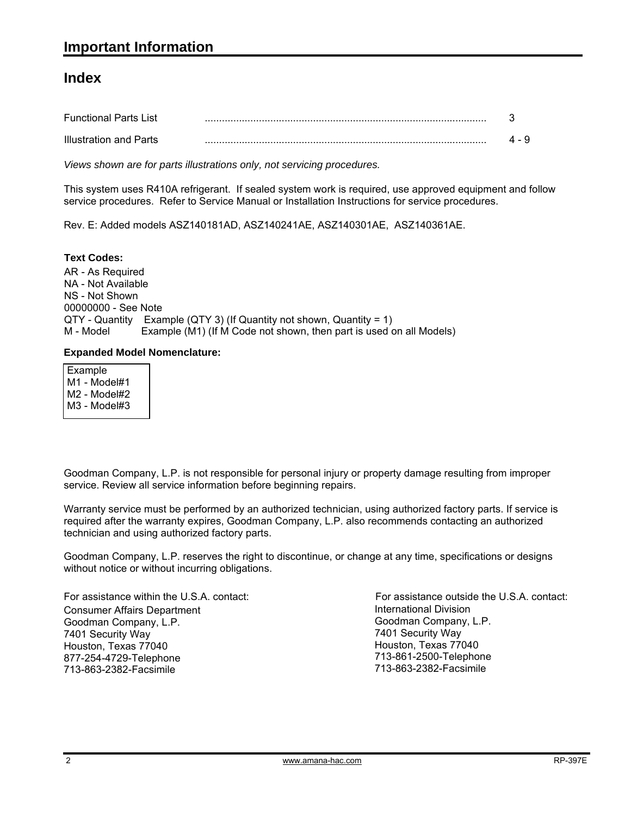#### **Index**

| <b>Functional Parts List</b> |  |
|------------------------------|--|
| Illustration and Parts       |  |

*Views shown are for parts illustrations only, not servicing procedures.*

This system uses R410A refrigerant. If sealed system work is required, use approved equipment and follow service procedures. Refer to Service Manual or Installation Instructions for service procedures.

Rev. E: Added models ASZ140181AD, ASZ140241AE, ASZ140301AE, ASZ140361AE.

#### **Text Codes:**

AR - As Required NA - Not Available NS - Not Shown 00000000 - See Note QTY - Quantity Example (QTY 3) (If Quantity not shown, Quantity = 1) M - Model Example (M1) (If M Code not shown, then part is used on all Models)

#### **Expanded Model Nomenclature:**

| Example<br>M1 - Model#1<br>M2 - Model#2<br>M3 - Model#3 |  |  |
|---------------------------------------------------------|--|--|
|                                                         |  |  |

Goodman Company, L.P. is not responsible for personal injury or property damage resulting from improper service. Review all service information before beginning repairs.

Warranty service must be performed by an authorized technician, using authorized factory parts. If service is required after the warranty expires, Goodman Company, L.P. also recommends contacting an authorized technician and using authorized factory parts.

Goodman Company, L.P. reserves the right to discontinue, or change at any time, specifications or designs without notice or without incurring obligations.

For assistance within the U.S.A. contact: Consumer Affairs Department Goodman Company, L.P. 7401 Security Way Houston, Texas 77040 877-254-4729-Telephone 713-863-2382-Facsimile

International Division Goodman Company, L.P. 7401 Security Way Houston, Texas 77040 713-861-2500-Telephone 713-863-2382-Facsimile For assistance outside the U.S.A. contact: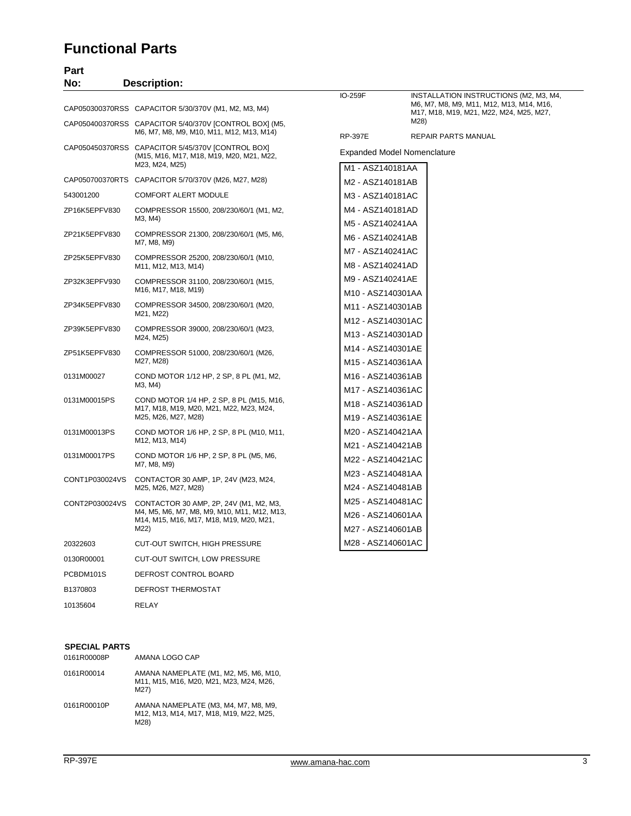### **Functional Parts**

| Part           |                                                                                                                                  |                                                             |                                                                                                                               |
|----------------|----------------------------------------------------------------------------------------------------------------------------------|-------------------------------------------------------------|-------------------------------------------------------------------------------------------------------------------------------|
| No:            | <b>Description:</b>                                                                                                              |                                                             |                                                                                                                               |
|                | CAP050300370RSS CAPACITOR 5/30/370V (M1, M2, M3, M4)                                                                             | IO-259F                                                     | INSTALLATION INSTRUCTIONS (M2, M3, M4,<br>M6, M7, M8, M9, M11, M12, M13, M14, M16,<br>M17, M18, M19, M21, M22, M24, M25, M27, |
|                | CAP050400370RSS CAPACITOR 5/40/370V [CONTROL BOX] (M5,<br>M6, M7, M8, M9, M10, M11, M12, M13, M14)                               | <b>RP-397E</b>                                              | M28)<br><b>REPAIR PARTS MANUAL</b>                                                                                            |
|                | CAP050450370RSS CAPACITOR 5/45/370V [CONTROL BOX]<br>(M15, M16, M17, M18, M19, M20, M21, M22,                                    |                                                             | <b>Expanded Model Nomenclature</b>                                                                                            |
|                | M23, M24, M25)                                                                                                                   | M1 - ASZ140181AA                                            |                                                                                                                               |
|                | CAP050700370RTS CAPACITOR 5/70/370V (M26, M27, M28)                                                                              | M2 - ASZ140181AB                                            |                                                                                                                               |
| 543001200      | <b>COMFORT ALERT MODULE</b>                                                                                                      | M3 - ASZ140181AC                                            |                                                                                                                               |
| ZP16K5EPFV830  | COMPRESSOR 15500, 208/230/60/1 (M1, M2,<br>M3, M4)                                                                               | M4 - ASZ140181AD<br>M5 - ASZ140241AA                        |                                                                                                                               |
| ZP21K5EPFV830  | COMPRESSOR 21300, 208/230/60/1 (M5, M6,<br>M7, M8, M9)                                                                           | M6 - ASZ140241AB                                            |                                                                                                                               |
| ZP25K5EPFV830  | COMPRESSOR 25200, 208/230/60/1 (M10,<br>M11, M12, M13, M14)                                                                      | M7 - ASZ140241AC<br>M8 - ASZ140241AD                        |                                                                                                                               |
| ZP32K3EPFV930  | COMPRESSOR 31100, 208/230/60/1 (M15,<br>M16, M17, M18, M19)                                                                      | M9 - ASZ140241AE                                            |                                                                                                                               |
| ZP34K5EPFV830  | COMPRESSOR 34500, 208/230/60/1 (M20,<br>M21, M22)                                                                                | M10 - ASZ140301AA<br>M11 - ASZ140301AB                      |                                                                                                                               |
| ZP39K5EPFV830  | COMPRESSOR 39000, 208/230/60/1 (M23,<br>M24, M25)                                                                                | M12 - ASZ140301AC<br>M13 - ASZ140301AD                      |                                                                                                                               |
| ZP51K5EPFV830  | COMPRESSOR 51000, 208/230/60/1 (M26,<br>M27, M28)                                                                                | M14 - ASZ140301AE<br>M15 - ASZ140361AA                      |                                                                                                                               |
| 0131M00027     | COND MOTOR 1/12 HP, 2 SP, 8 PL (M1, M2,<br>M3, M4)                                                                               | M16 - ASZ140361AB                                           |                                                                                                                               |
| 0131M00015PS   | COND MOTOR 1/4 HP, 2 SP, 8 PL (M15, M16,<br>M17, M18, M19, M20, M21, M22, M23, M24,<br>M25, M26, M27, M28)                       | M17 - ASZ140361AC<br>M18 - ASZ140361AD<br>M19 - ASZ140361AE |                                                                                                                               |
| 0131M00013PS   | COND MOTOR 1/6 HP, 2 SP, 8 PL (M10, M11,<br>M12, M13, M14)                                                                       | M20 - ASZ140421AA                                           |                                                                                                                               |
| 0131M00017PS   | COND MOTOR 1/6 HP, 2 SP, 8 PL (M5, M6,<br>M7, M8, M9)                                                                            | M21 - ASZ140421AB<br>M22 - ASZ140421AC                      |                                                                                                                               |
| CONT1P030024VS | CONTACTOR 30 AMP, 1P, 24V (M23, M24,<br>M25, M26, M27, M28)                                                                      | M23 - ASZ140481AA<br>M24 - ASZ140481AB                      |                                                                                                                               |
| CONT2P030024VS | CONTACTOR 30 AMP, 2P, 24V (M1, M2, M3,<br>M4, M5, M6, M7, M8, M9, M10, M11, M12, M13,<br>M14, M15, M16, M17, M18, M19, M20, M21, | M25 - ASZ140481AC<br>M26 - ASZ140601AA                      |                                                                                                                               |
|                | M22)                                                                                                                             | M27 - ASZ140601AB                                           |                                                                                                                               |
| 20322603       | <b>CUT-OUT SWITCH, HIGH PRESSURE</b>                                                                                             | M28 - ASZ140601AC                                           |                                                                                                                               |
| 0130R00001     | CUT-OUT SWITCH, LOW PRESSURE                                                                                                     |                                                             |                                                                                                                               |
| PCBDM101S      | DEFROST CONTROL BOARD                                                                                                            |                                                             |                                                                                                                               |
| B1370803       | DEFROST THERMOSTAT                                                                                                               |                                                             |                                                                                                                               |

#### **SPECIAL PARTS**

10135604 RELAY

| 0161R00008P | AMANA LOGO CAP                                                                          |
|-------------|-----------------------------------------------------------------------------------------|
| 0161R00014  | AMANA NAMEPLATE (M1, M2, M5, M6, M10,<br>M11, M15, M16, M20, M21, M23, M24, M26,<br>M27 |
| 0161R00010P | AMANA NAMEPLATE (M3, M4, M7, M8, M9,<br>M12, M13, M14, M17, M18, M19, M22, M25,<br>M28  |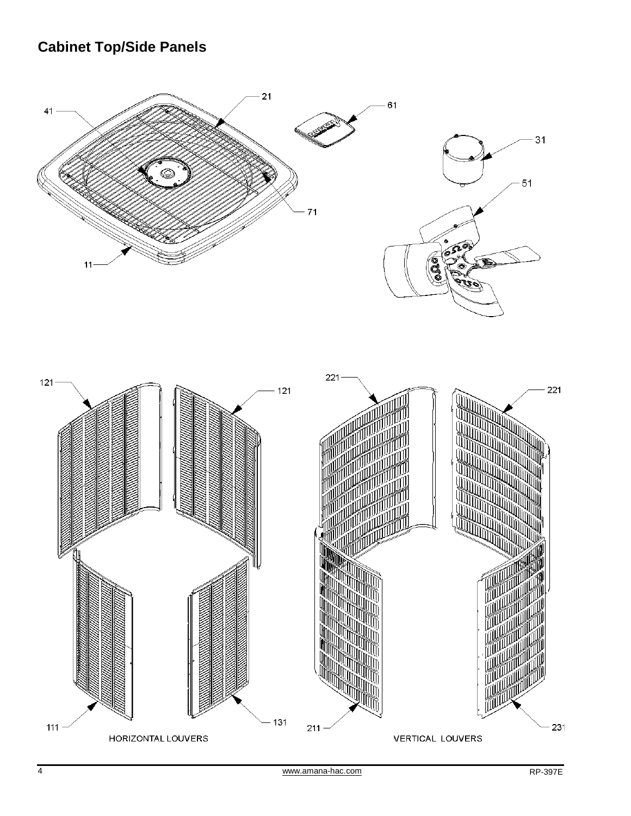## **Cabinet Top/Side Panels**



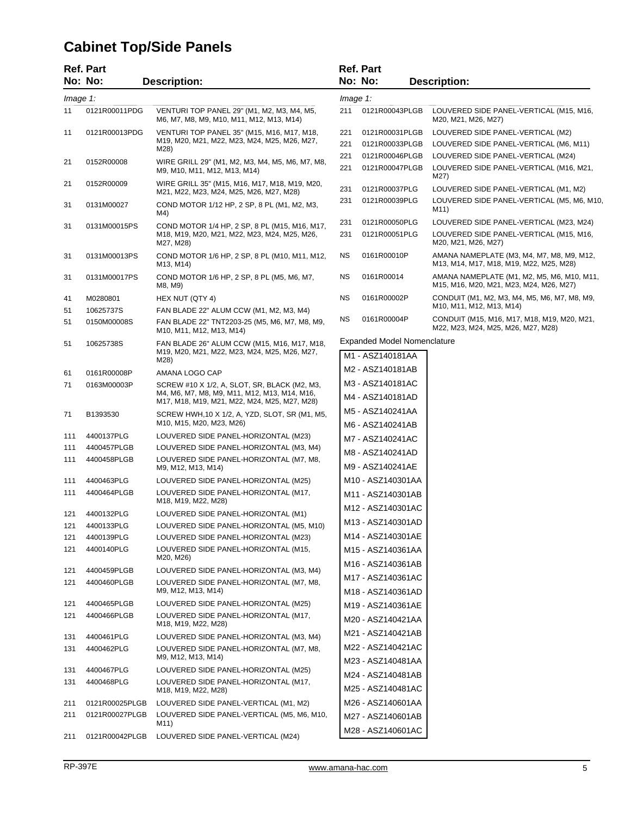## **Cabinet Top/Side Panels**

|     | <b>Ref. Part</b>        |                                                                                              |     | <b>Ref. Part</b>                     |                                                                                       |
|-----|-------------------------|----------------------------------------------------------------------------------------------|-----|--------------------------------------|---------------------------------------------------------------------------------------|
|     | No: No:                 | <b>Description:</b>                                                                          |     | No: No:                              | <b>Description:</b>                                                                   |
|     | $Image 1$ :<br>Image 1: |                                                                                              |     |                                      |                                                                                       |
| 11  | 0121R00011PDG           | VENTURI TOP PANEL 29" (M1, M2, M3, M4, M5,<br>M6, M7, M8, M9, M10, M11, M12, M13, M14)       | 211 | 0121R00043PLGB                       | LOUVERED SIDE PANEL-VERTICAL (M15, M16,<br>M20, M21, M26, M27)                        |
| 11  | 0121R00013PDG           | VENTURI TOP PANEL 35" (M15, M16, M17, M18,                                                   | 221 | 0121R00031PLGB                       | LOUVERED SIDE PANEL-VERTICAL (M2)                                                     |
|     |                         | M19, M20, M21, M22, M23, M24, M25, M26, M27,<br>M28)                                         | 221 | 0121R00033PLGB                       | LOUVERED SIDE PANEL-VERTICAL (M6, M11)                                                |
| 21  | 0152R00008              | WIRE GRILL 29" (M1, M2, M3, M4, M5, M6, M7, M8,                                              | 221 | 0121R00046PLGB                       | LOUVERED SIDE PANEL-VERTICAL (M24)                                                    |
|     |                         | M9, M10, M11, M12, M13, M14)                                                                 | 221 | 0121R00047PLGB                       | LOUVERED SIDE PANEL-VERTICAL (M16, M21,<br>M27)                                       |
| 21  | 0152R00009              | WIRE GRILL 35" (M15, M16, M17, M18, M19, M20,<br>M21, M22, M23, M24, M25, M26, M27, M28)     | 231 | 0121R00037PLG                        | LOUVERED SIDE PANEL-VERTICAL (M1, M2)                                                 |
| 31  | 0131M00027              | COND MOTOR 1/12 HP, 2 SP, 8 PL (M1, M2, M3,<br>M4)                                           | 231 | 0121R00039PLG                        | LOUVERED SIDE PANEL-VERTICAL (M5, M6, M10,<br>M11)                                    |
| 31  | 0131M00015PS            | COND MOTOR 1/4 HP, 2 SP, 8 PL (M15, M16, M17,                                                | 231 | 0121R00050PLG                        | LOUVERED SIDE PANEL-VERTICAL (M23, M24)                                               |
|     |                         | M18, M19, M20, M21, M22, M23, M24, M25, M26,<br>M27, M28)                                    | 231 | 0121R00051PLG                        | LOUVERED SIDE PANEL-VERTICAL (M15, M16,<br>M20, M21, M26, M27)                        |
| 31  | 0131M00013PS            | COND MOTOR 1/6 HP, 2 SP, 8 PL (M10, M11, M12,<br>M13, M14)                                   | ΝS  | 0161R00010P                          | AMANA NAMEPLATE (M3, M4, M7, M8, M9, M12,<br>M13, M14, M17, M18, M19, M22, M25, M28)  |
| 31  | 0131M00017PS            | COND MOTOR 1/6 HP, 2 SP, 8 PL (M5, M6, M7,<br>M8, M9)                                        | ΝS  | 0161R00014                           | AMANA NAMEPLATE (M1, M2, M5, M6, M10, M11,<br>M15, M16, M20, M21, M23, M24, M26, M27) |
| 41  | M0280801                | HEX NUT (QTY 4)                                                                              | ΝS  | 0161R00002P                          | CONDUIT (M1, M2, M3, M4, M5, M6, M7, M8, M9,                                          |
| 51  | 10625737S               | FAN BLADE 22" ALUM CCW (M1, M2, M3, M4)                                                      |     |                                      | M10, M11, M12, M13, M14)                                                              |
| 51  | 0150M00008S             | FAN BLADE 22" TNT2203-25 (M5, M6, M7, M8, M9,<br>M10, M11, M12, M13, M14)                    | ΝS  | 0161R00004P                          | CONDUIT (M15, M16, M17, M18, M19, M20, M21,<br>M22, M23, M24, M25, M26, M27, M28)     |
| 51  | 10625738S               | FAN BLADE 26" ALUM CCW (M15, M16, M17, M18,                                                  |     | <b>Expanded Model Nomenclature</b>   |                                                                                       |
|     |                         | M19, M20, M21, M22, M23, M24, M25, M26, M27,<br>M28)                                         |     | M1 - ASZ140181AA                     |                                                                                       |
| 61  | 0161R00008P             | AMANA LOGO CAP                                                                               |     | M2 - ASZ140181AB                     |                                                                                       |
| 71  | 0163M00003P             | SCREW #10 X 1/2, A, SLOT, SR, BLACK (M2, M3,                                                 |     | M3 - ASZ140181AC                     |                                                                                       |
|     |                         | M4, M6, M7, M8, M9, M11, M12, M13, M14, M16,<br>M17, M18, M19, M21, M22, M24, M25, M27, M28) |     | M4 - ASZ140181AD                     |                                                                                       |
| 71  | B1393530                | SCREW HWH, 10 X 1/2, A, YZD, SLOT, SR (M1, M5,<br>M10, M15, M20, M23, M26)                   |     | M5 - ASZ140241AA<br>M6 - ASZ140241AB |                                                                                       |
| 111 | 4400137PLG              | LOUVERED SIDE PANEL-HORIZONTAL (M23)                                                         |     |                                      |                                                                                       |
| 111 | 4400457PLGB             | LOUVERED SIDE PANEL-HORIZONTAL (M3, M4)                                                      |     | M7 - ASZ140241AC                     |                                                                                       |
| 111 | 4400458PLGB             | LOUVERED SIDE PANEL-HORIZONTAL (M7, M8,<br>M9, M12, M13, M14)                                |     | M8 - ASZ140241AD<br>M9 - ASZ140241AE |                                                                                       |
| 111 | 4400463PLG              | LOUVERED SIDE PANEL-HORIZONTAL (M25)                                                         |     | M10 - ASZ140301AA                    |                                                                                       |
| 111 | 4400464PLGB             | LOUVERED SIDE PANEL-HORIZONTAL (M17,<br>M18, M19, M22, M28)                                  |     | M11 - ASZ140301AB                    |                                                                                       |
| 121 | 4400132PLG              | LOUVERED SIDE PANEL-HORIZONTAL (M1)                                                          |     | M12 - ASZ140301AC                    |                                                                                       |
| 121 | 4400133PLG              | LOUVERED SIDE PANEL-HORIZONTAL (M5, M10)                                                     |     | M13 - ASZ140301AD                    |                                                                                       |
| 121 | 4400139PLG              | LOUVERED SIDE PANEL-HORIZONTAL (M23)                                                         |     | M14 - ASZ140301AE                    |                                                                                       |
| 121 | 4400140PLG              | LOUVERED SIDE PANEL-HORIZONTAL (M15,                                                         |     | M15 - ASZ140361AA                    |                                                                                       |
|     |                         | M20, M26)                                                                                    |     | M16 - ASZ140361AB                    |                                                                                       |
| 121 | 4400459PLGB             | LOUVERED SIDE PANEL-HORIZONTAL (M3, M4)                                                      |     | M17 - ASZ140361AC                    |                                                                                       |
| 121 | 4400460PLGB             | LOUVERED SIDE PANEL-HORIZONTAL (M7, M8,<br>M9, M12, M13, M14)                                |     | M18 - ASZ140361AD                    |                                                                                       |
| 121 | 4400465PLGB             | LOUVERED SIDE PANEL-HORIZONTAL (M25)                                                         |     | M19 - ASZ140361AE                    |                                                                                       |
| 121 | 4400466PLGB             | LOUVERED SIDE PANEL-HORIZONTAL (M17,<br>M18, M19, M22, M28)                                  |     | M20 - ASZ140421AA                    |                                                                                       |
| 131 | 4400461PLG              | LOUVERED SIDE PANEL-HORIZONTAL (M3, M4)                                                      |     | M21 - ASZ140421AB                    |                                                                                       |
| 131 | 4400462PLG              | LOUVERED SIDE PANEL-HORIZONTAL (M7, M8,<br>M9, M12, M13, M14)                                |     | M22 - ASZ140421AC                    |                                                                                       |
| 131 | 4400467PLG              | LOUVERED SIDE PANEL-HORIZONTAL (M25)                                                         |     | M23 - ASZ140481AA                    |                                                                                       |
| 131 | 4400468PLG              | LOUVERED SIDE PANEL-HORIZONTAL (M17,                                                         |     | M24 - ASZ140481AB                    |                                                                                       |
|     |                         | M18, M19, M22, M28)                                                                          |     | M25 - ASZ140481AC                    |                                                                                       |
| 211 | 0121R00025PLGB          | LOUVERED SIDE PANEL-VERTICAL (M1, M2)                                                        |     | M26 - ASZ140601AA                    |                                                                                       |
| 211 | 0121R00027PLGB          | LOUVERED SIDE PANEL-VERTICAL (M5, M6, M10,<br>M11)                                           |     | M27 - ASZ140601AB                    |                                                                                       |
| 211 | 0121R00042PLGB          | LOUVERED SIDE PANEL-VERTICAL (M24)                                                           |     | M28 - ASZ140601AC                    |                                                                                       |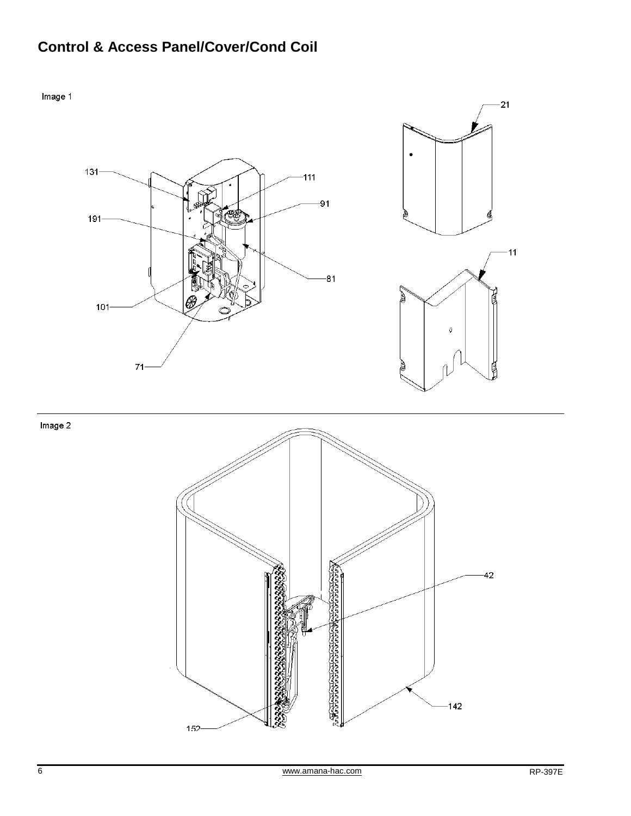## **Control & Access Panel/Cover/Cond Coil**



 $152 -$ 

なもの

 $142$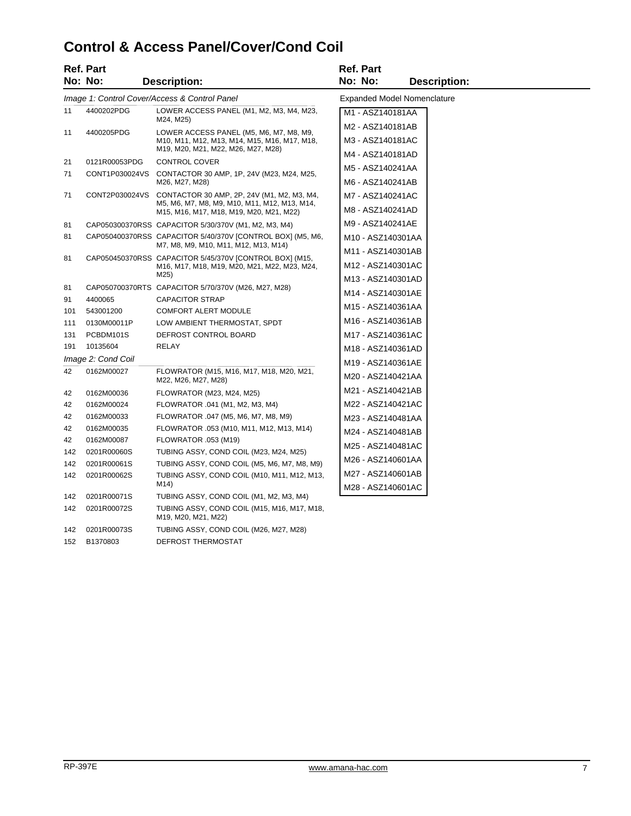## **Control & Access Panel/Cover/Cond Coil**

|                  | <b>Ref. Part</b>   |                                                                                                                                       | <b>Ref. Part</b>                           |
|------------------|--------------------|---------------------------------------------------------------------------------------------------------------------------------------|--------------------------------------------|
|                  | No: No:            | <b>Description:</b>                                                                                                                   | No: No:<br><b>Description:</b>             |
|                  |                    | Image 1: Control Cover/Access & Control Panel                                                                                         | <b>Expanded Model Nomenclature</b>         |
| 11               | 4400202PDG         | LOWER ACCESS PANEL (M1, M2, M3, M4, M23,                                                                                              | M1 - ASZ140181AA                           |
| 11<br>4400205PDG |                    | M24, M25)<br>LOWER ACCESS PANEL (M5, M6, M7, M8, M9,<br>M10, M11, M12, M13, M14, M15, M16, M17, M18,                                  | M2 - ASZ140181AB                           |
|                  |                    |                                                                                                                                       | M3 - ASZ140181AC                           |
|                  |                    | M19, M20, M21, M22, M26, M27, M28)                                                                                                    | M4 - ASZ140181AD                           |
| 21               | 0121R00053PDG      | CONTROL COVER                                                                                                                         | M5 - ASZ140241AA                           |
| 71               | CONT1P030024VS     | CONTACTOR 30 AMP, 1P, 24V (M23, M24, M25,<br>M26, M27, M28)                                                                           | M6 - ASZ140241AB                           |
| 71               | CONT2P030024VS     | CONTACTOR 30 AMP, 2P, 24V (M1, M2, M3, M4,<br>M5, M6, M7, M8, M9, M10, M11, M12, M13, M14,<br>M15, M16, M17, M18, M19, M20, M21, M22) | M7 - ASZ140241AC                           |
|                  |                    |                                                                                                                                       | M8 - ASZ140241AD                           |
| 81               |                    | CAP050300370RSS CAPACITOR 5/30/370V (M1, M2, M3, M4)                                                                                  | M9 - ASZ140241AE                           |
| 81               |                    | CAP050400370RSS CAPACITOR 5/40/370V [CONTROL BOX] (M5, M6,                                                                            | M <sub>10</sub> - ASZ <sub>140301</sub> AA |
|                  |                    | M7, M8, M9, M10, M11, M12, M13, M14)                                                                                                  | M11 - ASZ140301AB                          |
| 81               |                    | CAP050450370RSS CAPACITOR 5/45/370V [CONTROL BOX] (M15,<br>M16, M17, M18, M19, M20, M21, M22, M23, M24,                               | M12 - ASZ140301AC                          |
|                  | M25)               | M13 - ASZ140301AD                                                                                                                     |                                            |
| 81               |                    | CAP050700370RTS CAPACITOR 5/70/370V (M26, M27, M28)                                                                                   | M14 - ASZ140301AE                          |
| 91               | 4400065            | <b>CAPACITOR STRAP</b>                                                                                                                |                                            |
| 101              | 543001200          | <b>COMFORT ALERT MODULE</b>                                                                                                           | M15 - ASZ140361AA                          |
| 111              | 0130M00011P        | LOW AMBIENT THERMOSTAT, SPDT                                                                                                          | M <sub>16</sub> - ASZ <sub>140361</sub> AB |
| 131              | PCBDM101S          | DEFROST CONTROL BOARD                                                                                                                 | M17 - ASZ140361AC                          |
| 191              | 10135604           | RELAY                                                                                                                                 | M18 - ASZ140361AD                          |
|                  | Image 2: Cond Coil |                                                                                                                                       | M19 - ASZ140361AE                          |
| 42               | 0162M00027         | FLOWRATOR (M15, M16, M17, M18, M20, M21,<br>M22, M26, M27, M28)                                                                       | M20 - ASZ140421AA                          |
| 42               | 0162M00036         | FLOWRATOR (M23, M24, M25)                                                                                                             | M21 - ASZ140421AB                          |
| 42               | 0162M00024         | FLOWRATOR .041 (M1, M2, M3, M4)                                                                                                       | M22 - ASZ140421AC                          |
| 42               | 0162M00033         | FLOWRATOR .047 (M5, M6, M7, M8, M9)                                                                                                   | M23 - ASZ140481AA                          |
| 42               | 0162M00035         | FLOWRATOR .053 (M10, M11, M12, M13, M14)                                                                                              | M24 - ASZ140481AB                          |
| 42               | 0162M00087         | FLOWRATOR .053 (M19)                                                                                                                  |                                            |
| 142              | 0201R00060S        | TUBING ASSY, COND COIL (M23, M24, M25)                                                                                                | M25 - ASZ140481AC                          |
| 142              | 0201R00061S        | TUBING ASSY, COND COIL (M5, M6, M7, M8, M9)                                                                                           | M26 - ASZ140601AA                          |
| 142              | 0201R00062S        | TUBING ASSY, COND COIL (M10, M11, M12, M13,<br>M14)                                                                                   | M27 - ASZ140601AB                          |
| 142              | 0201R00071S        | TUBING ASSY, COND COIL (M1, M2, M3, M4)                                                                                               | M28 - ASZ140601AC                          |
| 142              | 0201R00072S        | TUBING ASSY, COND COIL (M15, M16, M17, M18,<br>M19, M20, M21, M22)                                                                    |                                            |
| 142              | 0201R00073S        | TUBING ASSY, COND COIL (M26, M27, M28)                                                                                                |                                            |

152 B1370803 DEFROST THERMOSTAT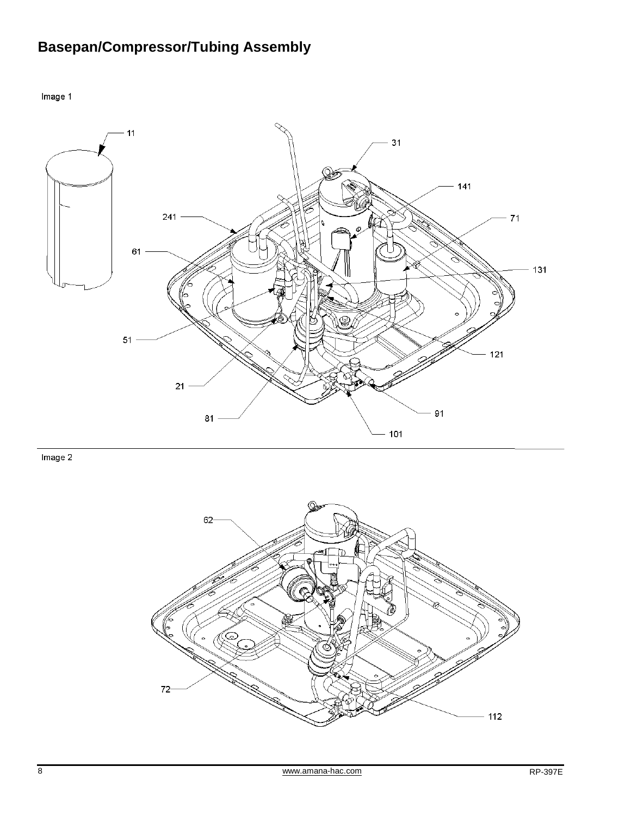# **Basepan/Compressor/Tubing Assembly**

Image 1



 $Image<sub>2</sub>$